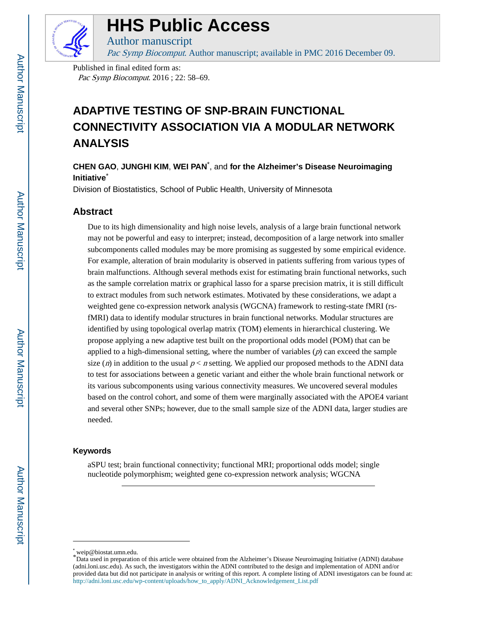

# **HHS Public Access**

Pac Symp Biocomput. Author manuscript; available in PMC 2016 December 09.

Published in final edited form as: Pac Symp Biocomput. 2016 ; 22: 58–69.

Author manuscript

# **ADAPTIVE TESTING OF SNP-BRAIN FUNCTIONAL CONNECTIVITY ASSOCIATION VIA A MODULAR NETWORK ANALYSIS**

## **CHEN GAO**, **JUNGHI KIM**, **WEI PAN**\* , and **for the Alzheimer's Disease Neuroimaging Initiative**\*

Division of Biostatistics, School of Public Health, University of Minnesota

## **Abstract**

Due to its high dimensionality and high noise levels, analysis of a large brain functional network may not be powerful and easy to interpret; instead, decomposition of a large network into smaller subcomponents called modules may be more promising as suggested by some empirical evidence. For example, alteration of brain modularity is observed in patients suffering from various types of brain malfunctions. Although several methods exist for estimating brain functional networks, such as the sample correlation matrix or graphical lasso for a sparse precision matrix, it is still difficult to extract modules from such network estimates. Motivated by these considerations, we adapt a weighted gene co-expression network analysis (WGCNA) framework to resting-state fMRI (rsfMRI) data to identify modular structures in brain functional networks. Modular structures are identified by using topological overlap matrix (TOM) elements in hierarchical clustering. We propose applying a new adaptive test built on the proportional odds model (POM) that can be applied to a high-dimensional setting, where the number of variables  $(p)$  can exceed the sample size (n) in addition to the usual  $p < n$  setting. We applied our proposed methods to the ADNI data to test for associations between a genetic variant and either the whole brain functional network or its various subcomponents using various connectivity measures. We uncovered several modules based on the control cohort, and some of them were marginally associated with the APOE4 variant and several other SNPs; however, due to the small sample size of the ADNI data, larger studies are needed.

#### **Keywords**

aSPU test; brain functional connectivity; functional MRI; proportional odds model; single nucleotide polymorphism; weighted gene co-expression network analysis; WGCNA

<sup>\*</sup> weip@biostat.umn.edu.

<sup>\*</sup>Data used in preparation of this article were obtained from the Alzheimer's Disease Neuroimaging Initiative (ADNI) database (adni.loni.usc.edu). As such, the investigators within the ADNI contributed to the design and implementation of ADNI and/or provided data but did not participate in analysis or writing of this report. A complete listing of ADNI investigators can be found at: [http://adni.loni.usc.edu/wp-content/uploads/how\\_to\\_apply/ADNI\\_Acknowledgement\\_List.pdf](http://adni.loni.usc.edu/wp-content/uploads/how_to_apply/ADNI_Acknowledgement_List.pdf)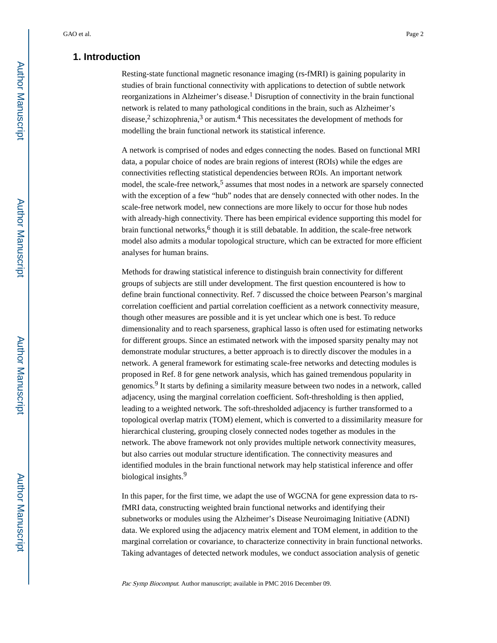## **1. Introduction**

Resting-state functional magnetic resonance imaging (rs-fMRI) is gaining popularity in studies of brain functional connectivity with applications to detection of subtle network reorganizations in Alzheimer's disease.<sup>1</sup> Disruption of connectivity in the brain functional network is related to many pathological conditions in the brain, such as Alzheimer's disease,<sup>2</sup> schizophrenia,<sup>3</sup> or autism.<sup>4</sup> This necessitates the development of methods for modelling the brain functional network its statistical inference.

A network is comprised of nodes and edges connecting the nodes. Based on functional MRI data, a popular choice of nodes are brain regions of interest (ROIs) while the edges are connectivities reflecting statistical dependencies between ROIs. An important network model, the scale-free network,<sup>5</sup> assumes that most nodes in a network are sparsely connected with the exception of a few "hub" nodes that are densely connected with other nodes. In the scale-free network model, new connections are more likely to occur for those hub nodes with already-high connectivity. There has been empirical evidence supporting this model for brain functional networks,<sup>6</sup> though it is still debatable. In addition, the scale-free network model also admits a modular topological structure, which can be extracted for more efficient analyses for human brains.

Methods for drawing statistical inference to distinguish brain connectivity for different groups of subjects are still under development. The first question encountered is how to define brain functional connectivity. Ref. 7 discussed the choice between Pearson's marginal correlation coefficient and partial correlation coefficient as a network connectivity measure, though other measures are possible and it is yet unclear which one is best. To reduce dimensionality and to reach sparseness, graphical lasso is often used for estimating networks for different groups. Since an estimated network with the imposed sparsity penalty may not demonstrate modular structures, a better approach is to directly discover the modules in a network. A general framework for estimating scale-free networks and detecting modules is proposed in Ref. 8 for gene network analysis, which has gained tremendous popularity in genomics.<sup>9</sup> It starts by defining a similarity measure between two nodes in a network, called adjacency, using the marginal correlation coefficient. Soft-thresholding is then applied, leading to a weighted network. The soft-thresholded adjacency is further transformed to a topological overlap matrix (TOM) element, which is converted to a dissimilarity measure for hierarchical clustering, grouping closely connected nodes together as modules in the network. The above framework not only provides multiple network connectivity measures, but also carries out modular structure identification. The connectivity measures and identified modules in the brain functional network may help statistical inference and offer biological insights.<sup>9</sup>

In this paper, for the first time, we adapt the use of WGCNA for gene expression data to rsfMRI data, constructing weighted brain functional networks and identifying their subnetworks or modules using the Alzheimer's Disease Neuroimaging Initiative (ADNI) data. We explored using the adjacency matrix element and TOM element, in addition to the marginal correlation or covariance, to characterize connectivity in brain functional networks. Taking advantages of detected network modules, we conduct association analysis of genetic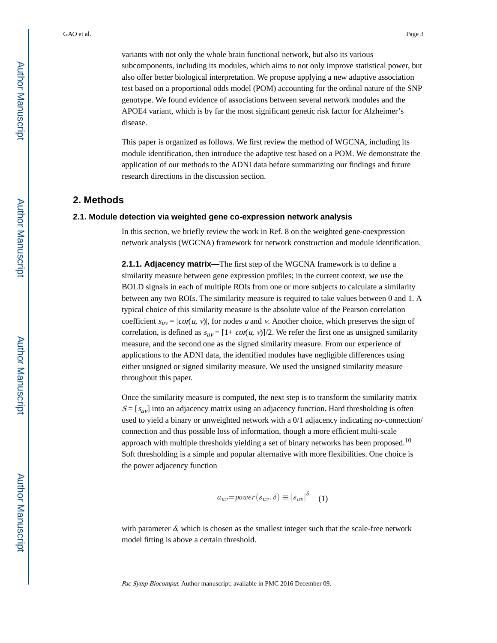variants with not only the whole brain functional network, but also its various subcomponents, including its modules, which aims to not only improve statistical power, but also offer better biological interpretation. We propose applying a new adaptive association test based on a proportional odds model (POM) accounting for the ordinal nature of the SNP genotype. We found evidence of associations between several network modules and the APOE4 variant, which is by far the most significant genetic risk factor for Alzheimer's disease.

This paper is organized as follows. We first review the method of WGCNA, including its module identification, then introduce the adaptive test based on a POM. We demonstrate the application of our methods to the ADNI data before summarizing our findings and future research directions in the discussion section.

#### **2. Methods**

#### **2.1. Module detection via weighted gene co-expression network analysis**

In this section, we briefly review the work in Ref. 8 on the weighted gene-coexpression network analysis (WGCNA) framework for network construction and module identification.

**2.1.1. Adjacency matrix—**The first step of the WGCNA framework is to define a similarity measure between gene expression profiles; in the current context, we use the BOLD signals in each of multiple ROIs from one or more subjects to calculate a similarity between any two ROIs. The similarity measure is required to take values between 0 and 1. A typical choice of this similarity measure is the absolute value of the Pearson correlation coefficient  $s_{uv} = |cot(u, v)|$ , for nodes u and v. Another choice, which preserves the sign of correlation, is defined as  $s_{uv} = [1 + \text{cor}(u, v)]/2$ . We refer the first one as unsigned similarity measure, and the second one as the signed similarity measure. From our experience of applications to the ADNI data, the identified modules have negligible differences using either unsigned or signed similarity measure. We used the unsigned similarity measure throughout this paper.

Once the similarity measure is computed, the next step is to transform the similarity matrix  $S = [s_{uv}]$  into an adjacency matrix using an adjacency function. Hard thresholding is often used to yield a binary or unweighted network with a 0/1 adjacency indicating no-connection/ connection and thus possible loss of information, though a more efficient multi-scale approach with multiple thresholds yielding a set of binary networks has been proposed.<sup>10</sup> Soft thresholding is a simple and popular alternative with more flexibilities. One choice is the power adjacency function

$$
a_{uv} = power(s_{uv}, \delta) \equiv |s_{uv}|^{\delta} \quad (1)
$$

with parameter  $\delta$ , which is chosen as the smallest integer such that the scale-free network model fitting is above a certain threshold.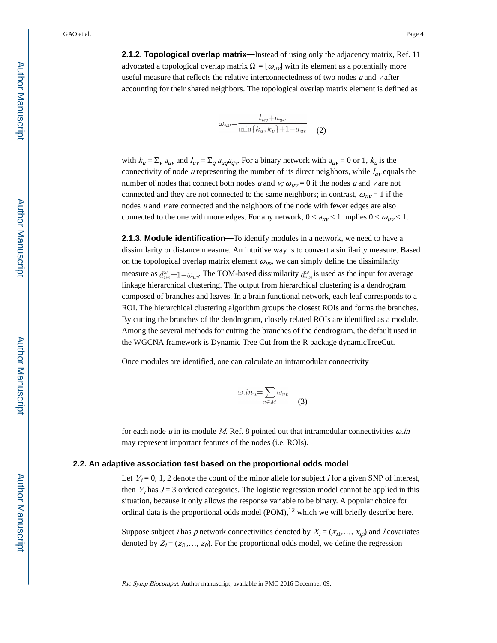**2.1.2. Topological overlap matrix—**Instead of using only the adjacency matrix, Ref. 11 advocated a topological overlap matrix  $\Omega = [\omega_{uv}]$  with its element as a potentially more useful measure that reflects the relative interconnectedness of two nodes  $u$  and  $v$  after accounting for their shared neighbors. The topological overlap matrix element is defined as

$$
\omega_{uv} = \frac{l_{uv} + a_{uv}}{\min\{k_u, k_v\} + 1 - a_{uv}} \tag{2}
$$

with  $k_u = \sum_{v} a_{uv}$  and  $l_{uv} = \sum_{g} a_{ud} a_{gv}$ . For a binary network with  $a_{uv} = 0$  or 1,  $k_u$  is the connectivity of node u representing the number of its direct neighbors, while  $I_{uv}$  equals the number of nodes that connect both nodes u and v;  $\omega_{\mu\nu} = 0$  if the nodes u and v are not connected and they are not connected to the same neighbors; in contrast,  $\omega_{\mu\nu} = 1$  if the nodes *u* and *v* are connected and the neighbors of the node with fewer edges are also connected to the one with more edges. For any network,  $0 \quad a_{uv} \quad 1$  implies  $0 \quad \omega_{uv} \quad 1$ .

**2.1.3. Module identification—**To identify modules in a network, we need to have a dissimilarity or distance measure. An intuitive way is to convert a similarity measure. Based on the topological overlap matrix element  $\omega_{\mu\nu}$ , we can simply define the dissimilarity measure as  $d_{uv}^{\omega} = 1 - \omega_{uv}$ . The TOM-based dissimilarity  $d_{uv}^{\omega}$  is used as the input for average linkage hierarchical clustering. The output from hierarchical clustering is a dendrogram composed of branches and leaves. In a brain functional network, each leaf corresponds to a ROI. The hierarchical clustering algorithm groups the closest ROIs and forms the branches. By cutting the branches of the dendrogram, closely related ROIs are identified as a module. Among the several methods for cutting the branches of the dendrogram, the default used in the WGCNA framework is Dynamic Tree Cut from the R package dynamicTreeCut.

Once modules are identified, one can calculate an intramodular connectivity

$$
\omega.in_u = \sum_{v \in M} \omega_{uv} \tag{3}
$$

for each node u in its module M. Ref. 8 pointed out that intramodular connectivities  $\omega$ .in may represent important features of the nodes (i.e. ROIs).

#### **2.2. An adaptive association test based on the proportional odds model**

Let  $Y_i = 0, 1, 2$  denote the count of the minor allele for subject *i* for a given SNP of interest, then  $Y_i$  has  $J = 3$  ordered categories. The logistic regression model cannot be applied in this situation, because it only allows the response variable to be binary. A popular choice for ordinal data is the proportional odds model  $(POM)$ ,<sup>12</sup> which we will briefly describe here.

Suppose subject *i* has *p* network connectivities denoted by  $X_i = (x_{i1},...,x_{ip})$  and *l* covariates denoted by  $Z_i = (z_{i1},..., z_{i1})$ . For the proportional odds model, we define the regression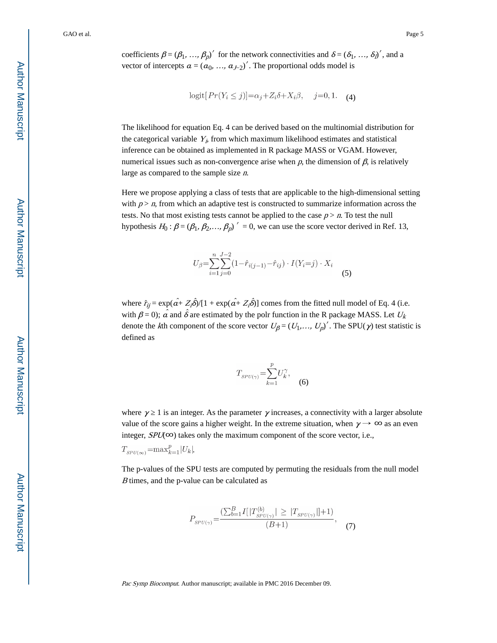coefficients  $\beta = (\beta_1, ..., \beta_p)'$  for the network connectivities and  $\delta = (\delta_1, ..., \delta_p)'$ , and a vector of intercepts  $a = (a_0, ..., a_{L-2})'$ . The proportional odds model is

$$
logit[Pr(Y_i \le j)] = \alpha_j + Z_i \delta + X_i \beta, \quad j = 0, 1. \tag{4}
$$

The likelihood for equation Eq. 4 can be derived based on the multinomial distribution for the categorical variable  $Y_i$ , from which maximum likelihood estimates and statistical inference can be obtained as implemented in R package MASS or VGAM. However, numerical issues such as non-convergence arise when  $p$ , the dimension of  $\beta$ , is relatively large as compared to the sample size n.

Here we propose applying a class of tests that are applicable to the high-dimensional setting with  $p > n$ , from which an adaptive test is constructed to summarize information across the tests. No that most existing tests cannot be applied to the case  $p > n$ . To test the null hypothesis  $H_0: \beta = (\beta_1, \beta_2, ..., \beta_p)' = 0$ , we can use the score vector derived in Ref. 13,

$$
U_{\beta} = \sum_{i=1}^{n} \sum_{j=0}^{J-2} (1 - \hat{r}_{i(j-1)} - \hat{r}_{ij}) \cdot I(Y_i = j) \cdot X_i
$$
\n(5)

where  $\hat{r}_{jj} = \exp(\hat{a} + Z_j \hat{\delta}) / [1 + \exp(\hat{a} + Z_j \hat{\delta})]$  comes from the fitted null model of Eq. 4 (i.e. with  $\beta = 0$ );  $\hat{a}$  and  $\hat{\delta}$  are estimated by the polr function in the R package MASS. Let  $U_k$ denote the kth component of the score vector  $U_{\beta} = (U_1, \dots, U_p)'$ . The SPU( $\gamma$ ) test statistic is defined as

$$
T_{SPU(\gamma)} = \sum_{k=1}^{p} U_k^{\gamma}, \qquad (6)
$$

where  $\gamma$  1 is an integer. As the parameter  $\gamma$  increases, a connectivity with a larger absolute value of the score gains a higher weight. In the extreme situation, when  $\gamma \rightarrow \infty$  as an even integer,  $SPU(\infty)$  takes only the maximum component of the score vector, i.e.,

 $T_{SPU(\infty)} = \max_{k=1}^{p} |U_k|$ .

The p-values of the SPU tests are computed by permuting the residuals from the null model <sup>B</sup> times, and the p-value can be calculated as

$$
P_{SPU(\gamma)} = \frac{\left(\sum_{b=1}^{B} I[|T_{SPU(\gamma)}^{(b)}| \ge |T_{SPU(\gamma)}|] + 1\right)}{(B+1)}, \quad (7)
$$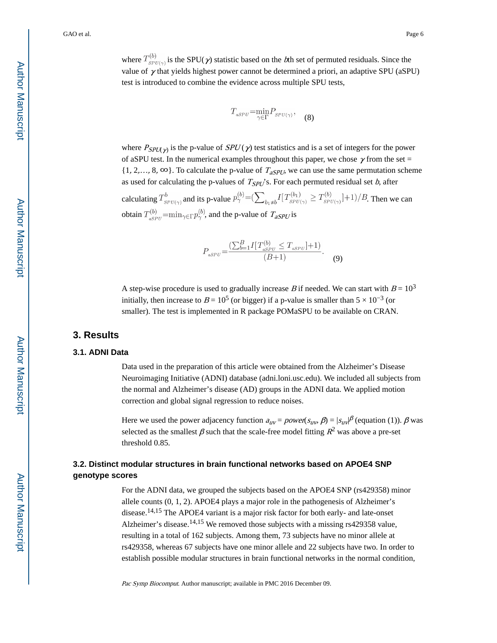where  $T_{SPU(\gamma)}^{(b)}$  is the SPU( $\gamma$ ) statistic based on the *b*th set of permuted residuals. Since the value of  $\gamma$  that yields highest power cannot be determined a priori, an adaptive SPU (aSPU) test is introduced to combine the evidence across multiple SPU tests,

$$
T_{asPU} = \min_{\gamma \in \Gamma} P_{SPU(\gamma)}, \quad (8)
$$

where  $P_{SPU(\gamma)}$  is the p-value of  $SPU(\gamma)$  test statistics and is a set of integers for the power of aSPU test. In the numerical examples throughout this paper, we chose  $\gamma$  from the set =  $\{1, 2, \ldots, 8, \infty\}$ . To calculate the p-value of  $T_{aSPU}$ , we can use the same permutation scheme as used for calculating the p-values of  $T_{SPU}$ 's. For each permuted residual set b, after calculating  $T_{SPU(\gamma)}^b$  and its p-value  $p_\gamma^{(b)} = (\sum_{b_1 \neq b} I[T_{SPU(\gamma)}^{(b_1)} \ge T_{SPU(\gamma)}^{(b)}]+1)/B$ . Then we can obtain  $T_{aspt}^{(b)} = \min_{\gamma \in \Gamma} p_{\gamma}^{(b)}$ , and the p-value of  $T_{aspt}$  is

$$
P_{\text{aspv}} = \frac{\left(\sum_{b=1}^{B} I[T_{\text{aspv}}^{(b)} \le T_{\text{aspv}}\right] + 1\right)}{(B+1)}.
$$
 (9)

A step-wise procedure is used to gradually increase B if needed. We can start with  $B = 10<sup>3</sup>$ initially, then increase to  $B = 10^5$  (or bigger) if a p-value is smaller than  $5 \times 10^{-3}$  (or smaller). The test is implemented in R package POMaSPU to be available on CRAN.

### **3. Results**

#### **3.1. ADNI Data**

Data used in the preparation of this article were obtained from the Alzheimer's Disease Neuroimaging Initiative (ADNI) database (adni.loni.usc.edu). We included all subjects from the normal and Alzheimer's disease (AD) groups in the ADNI data. We applied motion correction and global signal regression to reduce noises.

Here we used the power adjacency function  $a_{uv} = power(s_{uv}, \beta) = |s_{uv}|^{\beta}$  (equation (1)).  $\beta$  was selected as the smallest  $\beta$  such that the scale-free model fitting  $R^2$  was above a pre-set threshold 0.85.

# **3.2. Distinct modular structures in brain functional networks based on APOE4 SNP genotype scores**

For the ADNI data, we grouped the subjects based on the APOE4 SNP (rs429358) minor allele counts (0, 1, 2). APOE4 plays a major role in the pathogenesis of Alzheimer's disease.14,15 The APOE4 variant is a major risk factor for both early- and late-onset Alzheimer's disease.<sup>14,15</sup> We removed those subjects with a missing rs429358 value, resulting in a total of 162 subjects. Among them, 73 subjects have no minor allele at rs429358, whereas 67 subjects have one minor allele and 22 subjects have two. In order to establish possible modular structures in brain functional networks in the normal condition,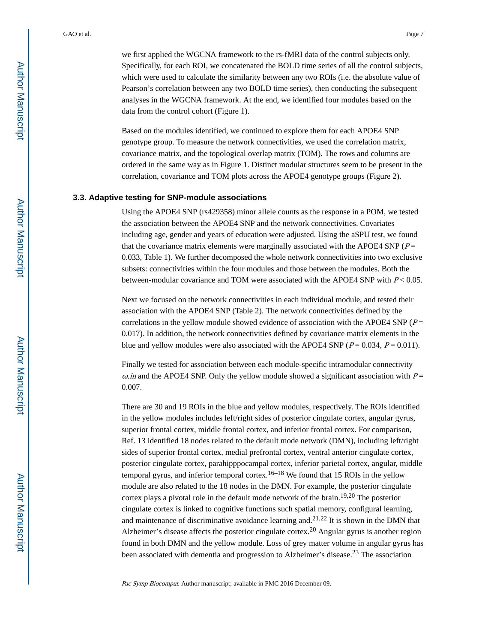we first applied the WGCNA framework to the rs-fMRI data of the control subjects only. Specifically, for each ROI, we concatenated the BOLD time series of all the control subjects, which were used to calculate the similarity between any two ROIs (i.e. the absolute value of Pearson's correlation between any two BOLD time series), then conducting the subsequent analyses in the WGCNA framework. At the end, we identified four modules based on the data from the control cohort (Figure 1).

Based on the modules identified, we continued to explore them for each APOE4 SNP genotype group. To measure the network connectivities, we used the correlation matrix, covariance matrix, and the topological overlap matrix (TOM). The rows and columns are ordered in the same way as in Figure 1. Distinct modular structures seem to be present in the correlation, covariance and TOM plots across the APOE4 genotype groups (Figure 2).

#### **3.3. Adaptive testing for SNP-module associations**

Using the APOE4 SNP (rs429358) minor allele counts as the response in a POM, we tested the association between the APOE4 SNP and the network connectivities. Covariates including age, gender and years of education were adjusted. Using the aSPU test, we found that the covariance matrix elements were marginally associated with the APOE4 SNP ( $P =$ 0.033, Table 1). We further decomposed the whole network connectivities into two exclusive subsets: connectivities within the four modules and those between the modules. Both the between-modular covariance and TOM were associated with the APOE4 SNP with  $P < 0.05$ .

Next we focused on the network connectivities in each individual module, and tested their association with the APOE4 SNP (Table 2). The network connectivities defined by the correlations in the yellow module showed evidence of association with the APOE4 SNP ( $P =$ 0.017). In addition, the network connectivities defined by covariance matrix elements in the blue and yellow modules were also associated with the APOE4 SNP ( $P = 0.034$ ,  $P = 0.011$ ).

Finally we tested for association between each module-specific intramodular connectivity  $\omega$ .in and the APOE4 SNP. Only the yellow module showed a significant association with  $P =$ 0.007.

There are 30 and 19 ROIs in the blue and yellow modules, respectively. The ROIs identified in the yellow modules includes left/right sides of posterior cingulate cortex, angular gyrus, superior frontal cortex, middle frontal cortex, and inferior frontal cortex. For comparison, Ref. 13 identified 18 nodes related to the default mode network (DMN), including left/right sides of superior frontal cortex, medial prefrontal cortex, ventral anterior cingulate cortex, posterior cingulate cortex, parahipppocampal cortex, inferior parietal cortex, angular, middle temporal gyrus, and inferior temporal cortex.<sup>16–18</sup> We found that 15 ROIs in the yellow module are also related to the 18 nodes in the DMN. For example, the posterior cingulate cortex plays a pivotal role in the default mode network of the brain.<sup>19,20</sup> The posterior cingulate cortex is linked to cognitive functions such spatial memory, configural learning, and maintenance of discriminative avoidance learning and.<sup>21,22</sup> It is shown in the DMN that Alzheimer's disease affects the posterior cingulate cortex.<sup>20</sup> Angular gyrus is another region found in both DMN and the yellow module. Loss of grey matter volume in angular gyrus has been associated with dementia and progression to Alzheimer's disease.23 The association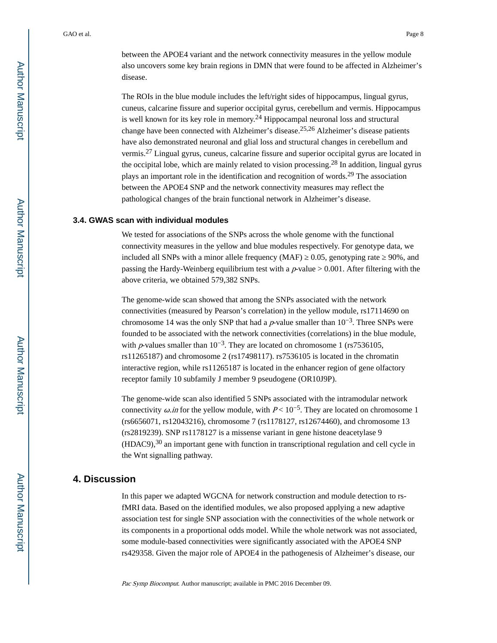between the APOE4 variant and the network connectivity measures in the yellow module also uncovers some key brain regions in DMN that were found to be affected in Alzheimer's disease.

The ROIs in the blue module includes the left/right sides of hippocampus, lingual gyrus, cuneus, calcarine fissure and superior occipital gyrus, cerebellum and vermis. Hippocampus is well known for its key role in memory.<sup>24</sup> Hippocampal neuronal loss and structural change have been connected with Alzheimer's disease.25,26 Alzheimer's disease patients have also demonstrated neuronal and glial loss and structural changes in cerebellum and vermis.27 Lingual gyrus, cuneus, calcarine fissure and superior occipital gyrus are located in the occipital lobe, which are mainly related to vision processing.<sup>28</sup> In addition, lingual gyrus plays an important role in the identification and recognition of words.29 The association between the APOE4 SNP and the network connectivity measures may reflect the pathological changes of the brain functional network in Alzheimer's disease.

#### **3.4. GWAS scan with individual modules**

We tested for associations of the SNPs across the whole genome with the functional connectivity measures in the yellow and blue modules respectively. For genotype data, we included all SNPs with a minor allele frequency  $(MAF)$   $0.05$ , genotyping rate  $90\%$ , and passing the Hardy-Weinberg equilibrium test with a  $p$ -value  $> 0.001$ . After filtering with the above criteria, we obtained 579,382 SNPs.

The genome-wide scan showed that among the SNPs associated with the network connectivities (measured by Pearson's correlation) in the yellow module, rs17114690 on chromosome 14 was the only SNP that had a p-value smaller than  $10^{-3}$ . Three SNPs were founded to be associated with the network connectivities (correlations) in the blue module, with p-values smaller than  $10^{-3}$ . They are located on chromosome 1 (rs7536105, rs11265187) and chromosome 2 (rs17498117). rs7536105 is located in the chromatin interactive region, while rs11265187 is located in the enhancer region of gene olfactory receptor family 10 subfamily J member 9 pseudogene (OR10J9P).

The genome-wide scan also identified 5 SNPs associated with the intramodular network connectivity  $\omega$ .in for the yellow module, with  $P < 10^{-5}$ . They are located on chromosome 1 (rs6656071, rs12043216), chromosome 7 (rs1178127, rs12674460), and chromosome 13 (rs2819239). SNP rs1178127 is a missense variant in gene histone deacetylase 9  $(HDAC9)$ ,<sup>30</sup> an important gene with function in transcriptional regulation and cell cycle in the Wnt signalling pathway.

# **4. Discussion**

In this paper we adapted WGCNA for network construction and module detection to rsfMRI data. Based on the identified modules, we also proposed applying a new adaptive association test for single SNP association with the connectivities of the whole network or its components in a proportional odds model. While the whole network was not associated, some module-based connectivities were significantly associated with the APOE4 SNP rs429358. Given the major role of APOE4 in the pathogenesis of Alzheimer's disease, our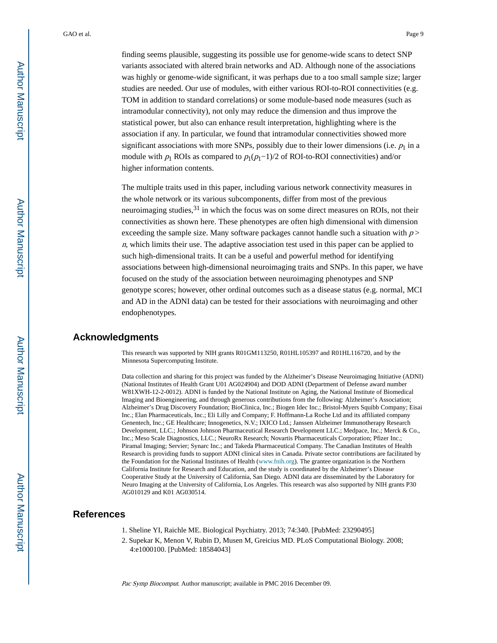finding seems plausible, suggesting its possible use for genome-wide scans to detect SNP variants associated with altered brain networks and AD. Although none of the associations was highly or genome-wide significant, it was perhaps due to a too small sample size; larger studies are needed. Our use of modules, with either various ROI-to-ROI connectivities (e.g. TOM in addition to standard correlations) or some module-based node measures (such as intramodular connectivity), not only may reduce the dimension and thus improve the statistical power, but also can enhance result interpretation, highlighting where is the association if any. In particular, we found that intramodular connectivities showed more significant associations with more SNPs, possibly due to their lower dimensions (i.e.  $p_1$  in a module with  $p_1$  ROIs as compared to  $p_1(p_1-1)/2$  of ROI-to-ROI connectivities) and/or higher information contents.

The multiple traits used in this paper, including various network connectivity measures in the whole network or its various subcomponents, differ from most of the previous neuroimaging studies,<sup>31</sup> in which the focus was on some direct measures on ROIs, not their connectivities as shown here. These phenotypes are often high dimensional with dimension exceeding the sample size. Many software packages cannot handle such a situation with  $p$ <sup>n</sup>, which limits their use. The adaptive association test used in this paper can be applied to such high-dimensional traits. It can be a useful and powerful method for identifying associations between high-dimensional neuroimaging traits and SNPs. In this paper, we have focused on the study of the association between neuroimaging phenotypes and SNP genotype scores; however, other ordinal outcomes such as a disease status (e.g. normal, MCI and AD in the ADNI data) can be tested for their associations with neuroimaging and other endophenotypes.

#### **Acknowledgments**

This research was supported by NIH grants R01GM113250, R01HL105397 and R01HL116720, and by the Minnesota Supercomputing Institute.

Data collection and sharing for this project was funded by the Alzheimer's Disease Neuroimaging Initiative (ADNI) (National Institutes of Health Grant U01 AG024904) and DOD ADNI (Department of Defense award number W81XWH-12-2-0012). ADNI is funded by the National Institute on Aging, the National Institute of Biomedical Imaging and Bioengineering, and through generous contributions from the following: Alzheimer's Association; Alzheimer's Drug Discovery Foundation; BioClinica, Inc.; Biogen Idec Inc.; Bristol-Myers Squibb Company; Eisai Inc.; Elan Pharmaceuticals, Inc.; Eli Lilly and Company; F. Hoffmann-La Roche Ltd and its affiliated company Genentech, Inc.; GE Healthcare; Innogenetics, N.V.; IXICO Ltd.; Janssen Alzheimer Immunotherapy Research Development, LLC.; Johnson Johnson Pharmaceutical Research Development LLC.; Medpace, Inc.; Merck & Co., Inc.; Meso Scale Diagnostics, LLC.; NeuroRx Research; Novartis Pharmaceuticals Corporation; Pfizer Inc.; Piramal Imaging; Servier; Synarc Inc.; and Takeda Pharmaceutical Company. The Canadian Institutes of Health Research is providing funds to support ADNI clinical sites in Canada. Private sector contributions are facilitated by the Foundation for the National Institutes of Health (www.fnih.org). The grantee organization is the Northern California Institute for Research and Education, and the study is coordinated by the Alzheimer's Disease Cooperative Study at the University of California, San Diego. ADNI data are disseminated by the Laboratory for Neuro Imaging at the University of California, Los Angeles. This research was also supported by NIH grants P30 AG010129 and K01 AG030514.

#### **References**

- 1. Sheline YI, Raichle ME. Biological Psychiatry. 2013; 74:340. [PubMed: 23290495]
- 2. Supekar K, Menon V, Rubin D, Musen M, Greicius MD. PLoS Computational Biology. 2008; 4:e1000100. [PubMed: 18584043]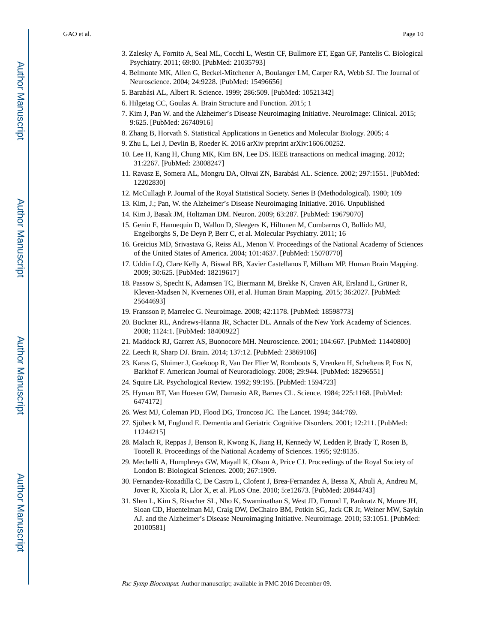- 3. Zalesky A, Fornito A, Seal ML, Cocchi L, Westin CF, Bullmore ET, Egan GF, Pantelis C. Biological Psychiatry. 2011; 69:80. [PubMed: 21035793]
- 4. Belmonte MK, Allen G, Beckel-Mitchener A, Boulanger LM, Carper RA, Webb SJ. The Journal of Neuroscience. 2004; 24:9228. [PubMed: 15496656]
- 5. Barabási AL, Albert R. Science. 1999; 286:509. [PubMed: 10521342]
- 6. Hilgetag CC, Goulas A. Brain Structure and Function. 2015; 1
- 7. Kim J, Pan W. and the Alzheimer's Disease Neuroimaging Initiative. NeuroImage: Clinical. 2015; 9:625. [PubMed: 26740916]
- 8. Zhang B, Horvath S. Statistical Applications in Genetics and Molecular Biology. 2005; 4
- 9. Zhu L, Lei J, Devlin B, Roeder K. 2016 arXiv preprint arXiv:1606.00252.
- 10. Lee H, Kang H, Chung MK, Kim BN, Lee DS. IEEE transactions on medical imaging. 2012; 31:2267. [PubMed: 23008247]
- 11. Ravasz E, Somera AL, Mongru DA, Oltvai ZN, Barabási AL. Science. 2002; 297:1551. [PubMed: 12202830]
- 12. McCullagh P. Journal of the Royal Statistical Society. Series B (Methodological). 1980; 109
- 13. Kim, J.; Pan, W. the Alzheimer's Disease Neuroimaging Initiative. 2016. Unpublished
- 14. Kim J, Basak JM, Holtzman DM. Neuron. 2009; 63:287. [PubMed: 19679070]
- 15. Genin E, Hannequin D, Wallon D, Sleegers K, Hiltunen M, Combarros O, Bullido MJ, Engelborghs S, De Deyn P, Berr C, et al. Molecular Psychiatry. 2011; 16
- 16. Greicius MD, Srivastava G, Reiss AL, Menon V. Proceedings of the National Academy of Sciences of the United States of America. 2004; 101:4637. [PubMed: 15070770]
- 17. Uddin LQ, Clare Kelly A, Biswal BB, Xavier Castellanos F, Milham MP. Human Brain Mapping. 2009; 30:625. [PubMed: 18219617]
- 18. Passow S, Specht K, Adamsen TC, Biermann M, Brekke N, Craven AR, Ersland L, Grüner R, Kleven-Madsen N, Kvernenes OH, et al. Human Brain Mapping. 2015; 36:2027. [PubMed: 25644693]
- 19. Fransson P, Marrelec G. Neuroimage. 2008; 42:1178. [PubMed: 18598773]
- 20. Buckner RL, Andrews-Hanna JR, Schacter DL. Annals of the New York Academy of Sciences. 2008; 1124:1. [PubMed: 18400922]
- 21. Maddock RJ, Garrett AS, Buonocore MH. Neuroscience. 2001; 104:667. [PubMed: 11440800]
- 22. Leech R, Sharp DJ. Brain. 2014; 137:12. [PubMed: 23869106]
- 23. Karas G, Sluimer J, Goekoop R, Van Der Flier W, Rombouts S, Vrenken H, Scheltens P, Fox N, Barkhof F. American Journal of Neuroradiology. 2008; 29:944. [PubMed: 18296551]
- 24. Squire LR. Psychological Review. 1992; 99:195. [PubMed: 1594723]
- 25. Hyman BT, Van Hoesen GW, Damasio AR, Barnes CL. Science. 1984; 225:1168. [PubMed: 6474172]
- 26. West MJ, Coleman PD, Flood DG, Troncoso JC. The Lancet. 1994; 344:769.
- 27. Sjöbeck M, Englund E. Dementia and Geriatric Cognitive Disorders. 2001; 12:211. [PubMed: 11244215]
- 28. Malach R, Reppas J, Benson R, Kwong K, Jiang H, Kennedy W, Ledden P, Brady T, Rosen B, Tootell R. Proceedings of the National Academy of Sciences. 1995; 92:8135.
- 29. Mechelli A, Humphreys GW, Mayall K, Olson A, Price CJ. Proceedings of the Royal Society of London B: Biological Sciences. 2000; 267:1909.
- 30. Fernandez-Rozadilla C, De Castro L, Clofent J, Brea-Fernandez A, Bessa X, Abuli A, Andreu M, Jover R, Xicola R, Llor X, et al. PLoS One. 2010; 5:e12673. [PubMed: 20844743]
- 31. Shen L, Kim S, Risacher SL, Nho K, Swaminathan S, West JD, Foroud T, Pankratz N, Moore JH, Sloan CD, Huentelman MJ, Craig DW, DeChairo BM, Potkin SG, Jack CR Jr, Weiner MW, Saykin AJ. and the Alzheimer's Disease Neuroimaging Initiative. Neuroimage. 2010; 53:1051. [PubMed: 20100581]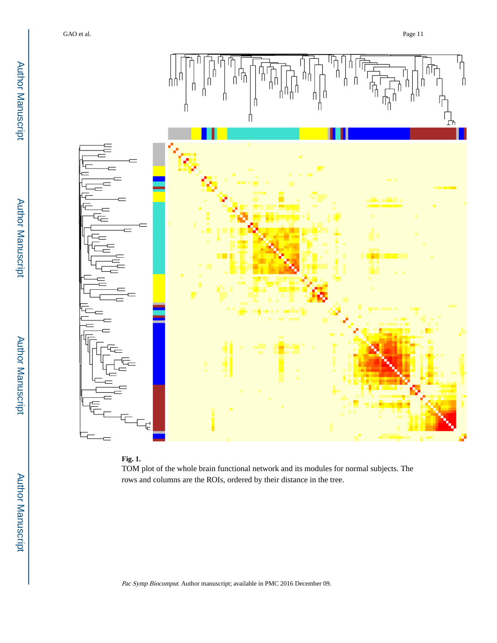GAO et al. Page 11





TOM plot of the whole brain functional network and its modules for normal subjects. The rows and columns are the ROIs, ordered by their distance in the tree.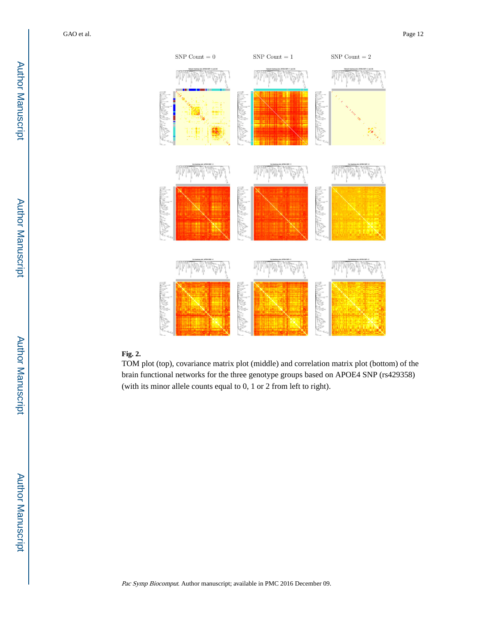

#### **Fig. 2.**

TOM plot (top), covariance matrix plot (middle) and correlation matrix plot (bottom) of the brain functional networks for the three genotype groups based on APOE4 SNP (rs429358) (with its minor allele counts equal to 0, 1 or 2 from left to right).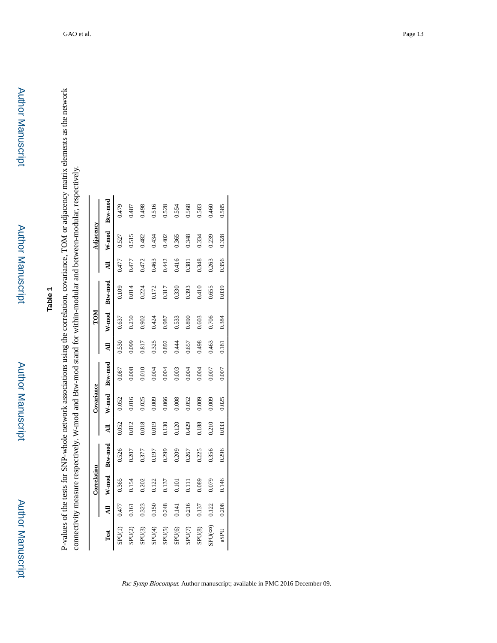Author Manuscript

**Author Manuscript** 

# **Table 1**

P-values of the tests for SNP-whole network associations using the correlation, covariance, TOM or adjacency matrix elements as the network P-values of the tests for SNP-whole network associations using the correlation, covariance, TOM or adjacency matrix elements as the network connectivity measure respectively. W-mod and Btw-mod stand for within-modular and between-modular, respectively. connectivity measure respectively. W-mod and Btw-mod stand for within-modular and between-modular, respectively.

|               |       | Correlation |         |                | Covariance |         |       | LON   |         |       | Adjacency |         |
|---------------|-------|-------------|---------|----------------|------------|---------|-------|-------|---------|-------|-----------|---------|
| Test          | ₹     | W-mod       | Btw-mod | $\overline{a}$ | W-mod      | Btw-mod | ₹     | W-mod | Btw-mod | ㅋ     | W-mod     | Btw-mod |
| SPU(1)        | 0.477 | 0.365       | 0.526   | 0.052          | 0.052      | 0.087   | 0.530 | 0.637 | 0.109   | 0.477 | 0.527     | 0.479   |
| SPU(2)        | 0.161 | 0.154       | 0.207   | 0.012          | 0.016      | 0.008   | 0.099 | 0.250 | 0.014   | 0.477 | 0.515     | 0.487   |
| SPU(3)        | 0.323 | 0.202       | 0.377   | 0.018          | 0.025      | 0.010   | 0.817 | 0.902 | 0.224   | 0.472 | 0.482     | 0.498   |
| SPU(4)        | 0.150 | 0.122       | 0.197   | 0.019          | 0.009      | 0.004   | 0.325 | 0.424 | 0.172   | 0.463 | 0.434     | 0.516   |
| SPU(5)        | 0.248 | 0.137       | 0.299   | 0.130          | 0.066      | 0.004   | 0.892 | 0.987 | 0.317   | 0.442 | 0.402     | 0.528   |
| SPU(6)        | 0.141 | 0.101       | 0.209   | 0.120          | 0.008      | 0.003   | 0.444 | 0.533 | 0.330   | 0.416 | 0.365     | 0.554   |
| SPU(7)        | 0.216 | 0.111       | 0.267   | 0.429          | 0.052      | 0.004   | 0.657 | 0.890 | 0.393   | 0.381 | 0.348     | 0.568   |
| SPU(8)        | 0.137 | 0.089       | 0.225   | 0.188          | 0.009      | 0.004   | 0.498 | 0.603 | 0.410   | 0.348 | 0.334     | 0.583   |
| $SPU(\infty)$ | 0.122 | 0.079       | 0.356   | 0.210          | 0.009      | 0.007   | 0.463 | 0.706 | 0.655   | 0.263 | 0.239     | 0.460   |
| <b>Udse</b>   | 0.208 | 0.146       | 0.296   | 0.033          | 0.025      | 0.007   | 0.181 | 0.384 | 0.039   | 0.356 | 0.328     | 0.585   |